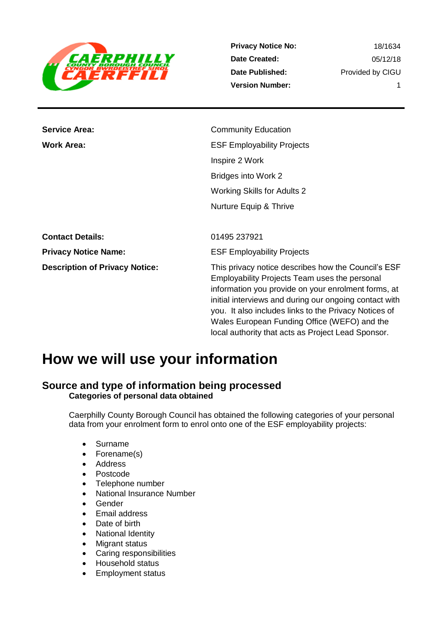

**Privacy Notice No: Date Created: Date Published: Version Number:**

18/1634 05/12/18 Provided by CIGU 1

**Service Area:** Community Education **Work Area:** ESF Employability Projects Inspire 2 Work Bridges into Work 2 Working Skills for Adults 2 Nurture Equip & Thrive

**Contact Details:** 01495 237921 **Privacy Notice Name:** ESF Employability Projects **Description of Privacy Notice:** This privacy notice describes how the Council's ESF Employability Projects Team uses the personal information you provide on your enrolment forms, at initial interviews and during our ongoing contact with you. It also includes links to the Privacy Notices of Wales European Funding Office (WEFO) and the local authority that acts as Project Lead Sponsor.

## **How we will use your information**

### **Source and type of information being processed Categories of personal data obtained**

Caerphilly County Borough Council has obtained the following categories of your personal data from your enrolment form to enrol onto one of the ESF employability projects:

- Surname
- Forename(s)
- Address
- Postcode
- Telephone number
- National Insurance Number
- Gender
- Email address
- Date of birth
- National Identity
- Migrant status
- Caring responsibilities
- Household status
- Employment status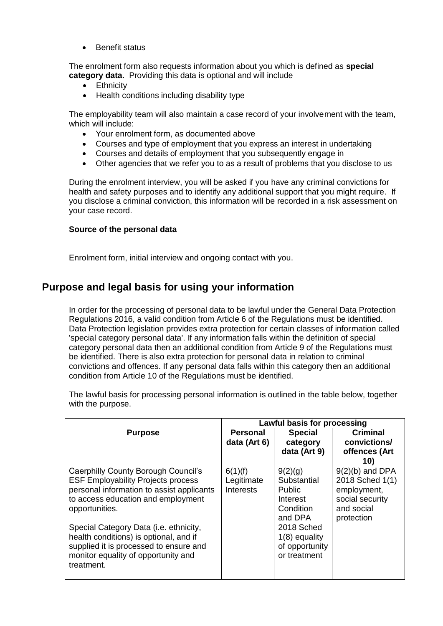Benefit status

The enrolment form also requests information about you which is defined as **special category data.** Providing this data is optional and will include

- Ethnicity
- Health conditions including disability type

The employability team will also maintain a case record of your involvement with the team, which will include:

- Your enrolment form, as documented above
- Courses and type of employment that you express an interest in undertaking
- Courses and details of employment that you subsequently engage in
- Other agencies that we refer you to as a result of problems that you disclose to us

During the enrolment interview, you will be asked if you have any criminal convictions for health and safety purposes and to identify any additional support that you might require. If you disclose a criminal conviction, this information will be recorded in a risk assessment on your case record.

#### **Source of the personal data**

Enrolment form, initial interview and ongoing contact with you.

## **Purpose and legal basis for using your information**

In order for the processing of personal data to be lawful under the General Data Protection Regulations 2016, a valid condition from Article 6 of the Regulations must be identified. Data Protection legislation provides extra protection for certain classes of information called 'special category personal data'. If any information falls within the definition of special category personal data then an additional condition from Article 9 of the Regulations must be identified. There is also extra protection for personal data in relation to criminal convictions and offences. If any personal data falls within this category then an additional condition from Article 10 of the Regulations must be identified.

The lawful basis for processing personal information is outlined in the table below, together with the purpose.

|                                                                                                                                                                                                                                                                                                                                                                          | Lawful basis for processing               |                                                                                                                                                |                                                                                                    |
|--------------------------------------------------------------------------------------------------------------------------------------------------------------------------------------------------------------------------------------------------------------------------------------------------------------------------------------------------------------------------|-------------------------------------------|------------------------------------------------------------------------------------------------------------------------------------------------|----------------------------------------------------------------------------------------------------|
| <b>Purpose</b>                                                                                                                                                                                                                                                                                                                                                           | <b>Personal</b><br>data (Art 6)           | <b>Special</b><br>category<br>data (Art 9)                                                                                                     | <b>Criminal</b><br>convictions/<br>offences (Art<br>10)                                            |
| Caerphilly County Borough Council's<br><b>ESF Employability Projects process</b><br>personal information to assist applicants<br>to access education and employment<br>opportunities.<br>Special Category Data (i.e. ethnicity,<br>health conditions) is optional, and if<br>supplied it is processed to ensure and<br>monitor equality of opportunity and<br>treatment. | 6(1)(f)<br>Legitimate<br><b>Interests</b> | 9(2)(g)<br>Substantial<br><b>Public</b><br>Interest<br>Condition<br>and DPA<br>2018 Sched<br>$1(8)$ equality<br>of opportunity<br>or treatment | $9(2)(b)$ and DPA<br>2018 Sched 1(1)<br>employment,<br>social security<br>and social<br>protection |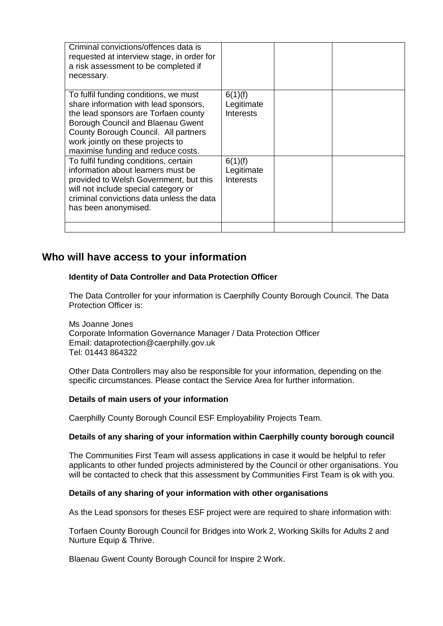| Criminal convictions/offences data is<br>requested at interview stage, in order for<br>a risk assessment to be completed if<br>necessary.                                                                                                                                      |                                           |  |
|--------------------------------------------------------------------------------------------------------------------------------------------------------------------------------------------------------------------------------------------------------------------------------|-------------------------------------------|--|
| To fulfil funding conditions, we must<br>share information with lead sponsors,<br>the lead sponsors are Torfaen county<br>Borough Council and Blaenau Gwent<br>County Borough Council. All partners<br>work jointly on these projects to<br>maximise funding and reduce costs. | 6(1)(f)<br>Legitimate<br><b>Interests</b> |  |
| To fulfil funding conditions, certain<br>information about learners must be<br>provided to Welsh Government, but this<br>will not include special category or<br>criminal convictions data unless the data<br>has been anonymised.                                             | 6(1)(f)<br>Legitimate<br><b>Interests</b> |  |
|                                                                                                                                                                                                                                                                                |                                           |  |

## **Who will have access to your information**

#### **Identity of Data Controller and Data Protection Officer**

The Data Controller for your information is Caerphilly County Borough Council. The Data Protection Officer is:

Ms Joanne Jones Corporate Information Governance Manager / Data Protection Officer Email: dataprotection@caerphilly.gov.uk Tel: 01443 864322

Other Data Controllers may also be responsible for your information, depending on the specific circumstances. Please contact the Service Area for further information.

#### **Details of main users of your information**

Caerphilly County Borough Council ESF Employability Projects Team.

#### **Details of any sharing of your information within Caerphilly county borough council**

The Communities First Team will assess applications in case it would be helpful to refer applicants to other funded projects administered by the Council or other organisations. You will be contacted to check that this assessment by Communities First Team is ok with you.

#### **Details of any sharing of your information with other organisations**

As the Lead sponsors for theses ESF project were are required to share information with:

Torfaen County Borough Council for Bridges into Work 2, Working Skills for Adults 2 and Nurture Equip & Thrive.

Blaenau Gwent County Borough Council for Inspire 2 Work.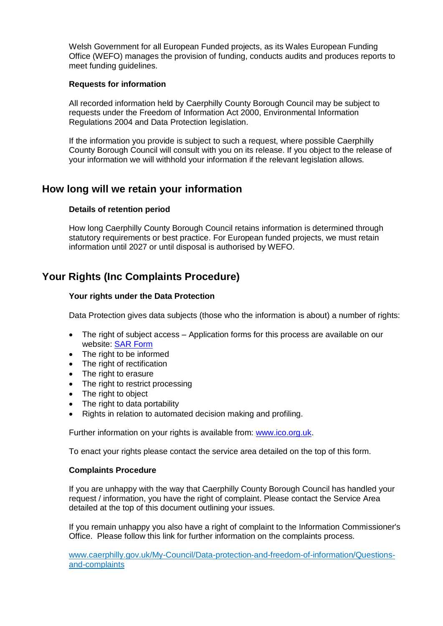Welsh Government for all European Funded projects, as its Wales European Funding Office (WEFO) manages the provision of funding, conducts audits and produces reports to meet funding guidelines.

#### **Requests for information**

All recorded information held by Caerphilly County Borough Council may be subject to requests under the Freedom of Information Act 2000, Environmental Information Regulations 2004 and Data Protection legislation.

If the information you provide is subject to such a request, where possible Caerphilly County Borough Council will consult with you on its release. If you object to the release of your information we will withhold your information if the relevant legislation allows.

## **How long will we retain your information**

#### **Details of retention period**

How long Caerphilly County Borough Council retains information is determined through statutory requirements or best practice. For European funded projects, we must retain information until 2027 or until disposal is authorised by WEFO.

## **Your Rights (Inc Complaints Procedure)**

#### **Your rights under the Data Protection**

Data Protection gives data subjects (those who the information is about) a number of rights:

- The right of subject access Application forms for this process are available on our website: [SAR Form](http://www.caerphilly.gov.uk/CaerphillyDocs/Council-and-democracy/sar_form.aspx)
- The right to be informed
- The right of rectification
- The right to erasure
- The right to restrict processing
- The right to object
- The right to data portability
- Rights in relation to automated decision making and profiling.

Further information on your rights is available from: [www.ico.org.uk.](http://www.ico.org.uk/)

To enact your rights please contact the service area detailed on the top of this form.

#### **Complaints Procedure**

If you are unhappy with the way that Caerphilly County Borough Council has handled your request / information, you have the right of complaint. Please contact the Service Area detailed at the top of this document outlining your issues.

If you remain unhappy you also have a right of complaint to the Information Commissioner's Office. Please follow this link for further information on the complaints process.

[www.caerphilly.gov.uk/My-Council/Data-protection-and-freedom-of-information/Questions](http://www.caerphilly.gov.uk/My-Council/Data-protection-and-freedom-of-information/Questions-and-complaints)[and-complaints](http://www.caerphilly.gov.uk/My-Council/Data-protection-and-freedom-of-information/Questions-and-complaints)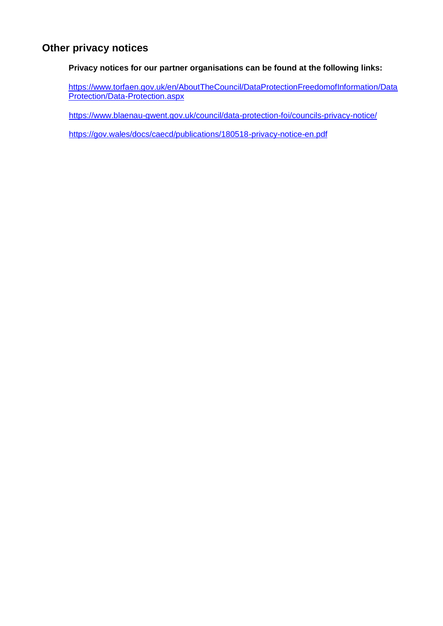## **Other privacy notices**

**Privacy notices for our partner organisations can be found at the following links:**

[https://www.torfaen.gov.uk/en/AboutTheCouncil/DataProtectionFreedomofInformation/Data](https://www.torfaen.gov.uk/en/AboutTheCouncil/DataProtectionFreedomofInformation/DataProtection/Data-Protection.aspx) [Protection/Data-Protection.aspx](https://www.torfaen.gov.uk/en/AboutTheCouncil/DataProtectionFreedomofInformation/DataProtection/Data-Protection.aspx)

<https://www.blaenau-gwent.gov.uk/council/data-protection-foi/councils-privacy-notice/>

<https://gov.wales/docs/caecd/publications/180518-privacy-notice-en.pdf>